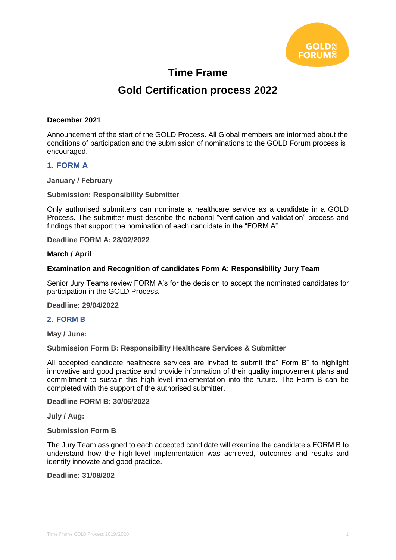

## **Time Frame**

# **Gold Certification process 2022**

#### **December 2021**

Announcement of the start of the GOLD Process. All Global members are informed about the conditions of participation and the submission of nominations to the GOLD Forum process is encouraged.

#### **1. FORM A**

**January / February**

**Submission: Responsibility Submitter**

Only authorised submitters can nominate a healthcare service as a candidate in a GOLD Process. The submitter must describe the national "verification and validation" process and findings that support the nomination of each candidate in the "FORM A".

**Deadline FORM A: 28/02/2022**

#### **March / April**

#### **Examination and Recognition of candidates Form A: Responsibility Jury Team**

Senior Jury Teams review FORM A's for the decision to accept the nominated candidates for participation in the GOLD Process.

**Deadline: 29/04/2022**

#### **2. FORM B**

**May / June:**

**Submission Form B: Responsibility Healthcare Services & Submitter**

All accepted candidate healthcare services are invited to submit the" Form B" to highlight innovative and good practice and provide information of their quality improvement plans and commitment to sustain this high-level implementation into the future. The Form B can be completed with the support of the authorised submitter.

**Deadline FORM B: 30/06/2022**

**July / Aug:**

**Submission Form B** 

The Jury Team assigned to each accepted candidate will examine the candidate's FORM B to understand how the high-level implementation was achieved, outcomes and results and identify innovate and good practice.

**Deadline: 31/08/202**